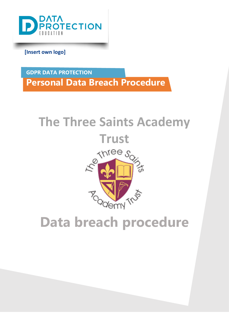

**[Insert own logo]**

**GDPR DATA PROTECTION Personal Data Breach Procedure** 

# **The Three Saints Academy**



# <span id="page-0-0"></span>**Data breach procedure**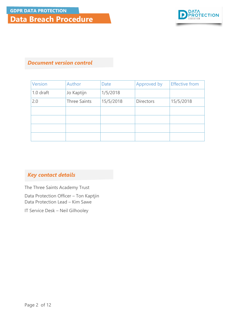

## *Document version control*

| <b>Version</b> | Author              | Date      | Approved by      | <b>Effective from</b> |
|----------------|---------------------|-----------|------------------|-----------------------|
| 1.0 draft      | Jo Kaptijn          | 1/5/2018  |                  |                       |
| 2.0            | <b>Three Saints</b> | 15/5/2018 | <b>Directors</b> | 15/5/2018             |
|                |                     |           |                  |                       |
|                |                     |           |                  |                       |
|                |                     |           |                  |                       |
|                |                     |           |                  |                       |

## *Key contact details*

The Three Saints Academy Trust

Data Protection Officer – Ton Kaptjin Data Protection Lead – Kim Sawe

IT Service Desk – Neil Gilhooley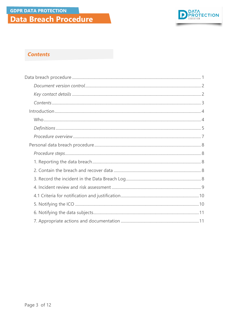

## **Contents**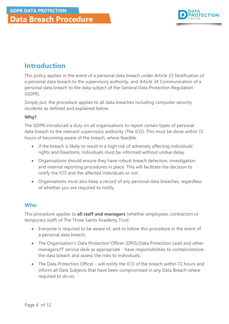

## <span id="page-3-0"></span>**Introduction**

This policy applies in the event of a personal data breach under Article 33 Notification of a personal data breach to the supervisory authority, and Article 34 Communication of a personal data breach to the data subject of the General Data Protection Regulation (GDPR).

Simply put, the procedure applies to all data breaches including computer security incidents as defined and explained below.

#### **Why?**

The GDPR introduced a duty on all organisations to report certain types of personal data breach to the relevant supervisory authority (The ICO). This must be done within 72 hours of becoming aware of the breach, where feasible.

- If the breach is likely to result in a high risk of adversely affecting individuals' rights and freedoms, individuals must be informed without undue delay.
- Organisations should ensure they have robust breach detection, investigation and internal reporting procedures in place. This will facilitate the decision to notify the ICO and the affected individuals or not.
- Organisations must also keep a record of any personal data breaches, regardless of whether you are required to notify.

## <span id="page-3-1"></span>**Who**

This procedure applies to **all staff and managers** (whether employees, contractors or temporary staff) of The Three Saints Academy Trust.

- Everyone is required to be aware of, and to follow this procedure in the event of a personal data breach;
- The Organisation's Data Protection Officer (DPO)/Data Protection Lead and other managers/IT service desk as appropriate - have responsibilities to contain/restore the data breach and assess the risks to individuals;
- The Data Protection Officer will notify the ICO of the breach within 72 hours and inform all Data Subjects that have been compromised in any Data Breach where required to do so;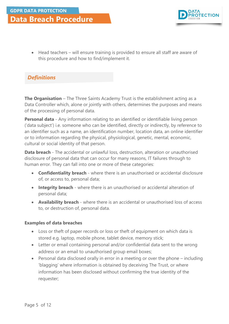

• Head teachers – will ensure training is provided to ensure all staff are aware of this procedure and how to find/implement it.

## *Definitions*

**The Organisation** – The Three Saints Academy Trust is the establishment acting as a Data Controller which, alone or jointly with others, determines the purposes and means of the processing of personal data.

**Personal data** - Any information relating to an identified or identifiable living person ('data subject') i.e. someone who can be identified, directly or indirectly, by reference to an identifier such as a name, an identification number, location data, an online identifier or to information regarding the physical, physiological, genetic, mental, economic, cultural or social identity of that person.

**Data breach** - The accidental or unlawful loss, destruction, alteration or unauthorised disclosure of personal data that can occur for many reasons, IT failures through to human error. They can fall into one or more of these categories:

- **Confidentiality breach** where there is an unauthorised or accidental disclosure of, or access to, personal data;
- **Integrity breach** where there is an unauthorised or accidental alteration of personal data;
- **Availability breach** where there is an accidental or unauthorised loss of access to, or destruction of, personal data.

#### **Examples of data breaches**

- Loss or theft of paper records or loss or theft of equipment on which data is stored e.g. laptop, mobile phone, tablet device, memory stick;
- Letter or email containing personal and/or confidential data sent to the wrong address or an email to unauthorised group email boxes;
- Personal data disclosed orally in error in a meeting or over the phone including 'blagging' where information is obtained by deceiving The Trust, or where information has been disclosed without confirming the true identity of the requester;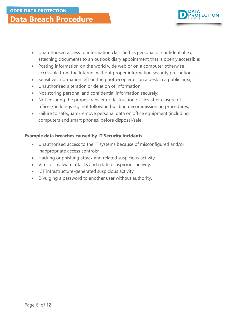

- Unauthorised access to information classified as personal or confidential e.g. attaching documents to an outlook diary appointment that is openly accessible;
- Posting information on the world wide web or on a computer otherwise accessible from the Internet without proper information security precautions;
- Sensitive information left on the photo-copier or on a desk in a public area;
- Unauthorised alteration or deletion of information;
- Not storing personal and confidential information securely;
- Not ensuring the proper transfer or destruction of files after closure of offices/buildings e.g. not following building decommissioning procedures;
- Failure to safeguard/remove personal data on office equipment (including computers and smart phones) before disposal/sale.

## **Example data breaches caused by IT Security Incidents**

- Unauthorised access to the IT systems because of misconfigured and/or inappropriate access controls;
- Hacking or phishing attack and related suspicious activity;
- Virus or malware attacks and related suspicious activity;
- ICT infrastructure-generated suspicious activity;
- Divulging a password to another user without authority.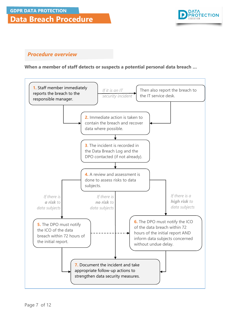

## *Procedure overview*

#### **When a member of staff detects or suspects a potential personal data breach …**

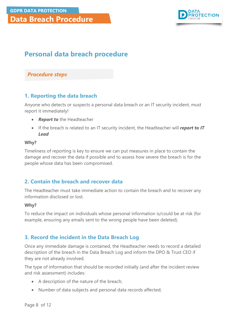

## <span id="page-7-0"></span>**Personal data breach procedure**

### *Procedure steps*

## <span id="page-7-1"></span>**1. Reporting the data breach**

Anyone who detects or suspects a personal data breach or an IT security incident, must report it immediately!

- *Report to* the Headteacher
- If the breach is related to an IT security incident, the Headteacher will *report to IT Lead*

#### **Why?**

Timeliness of reporting is key to ensure we can put measures in place to contain the damage and recover the data if possible and to assess how severe the breach is for the people whose data has been compromised.

## <span id="page-7-2"></span>**2. Contain the breach and recover data**

The Headteacher must take immediate action to contain the breach and to recover any information disclosed or lost.

#### **Why?**

To reduce the impact on individuals whose personal information is/could be at risk (for example, ensuring any emails sent to the wrong people have been deleted).

## <span id="page-7-3"></span>**3. Record the incident in the Data Breach Log**

Once any immediate damage is contained, the Headteacher needs to record a detailed description of the breach in the Data Breach Log and inform the DPO & Trust CEO if they are not already involved.

The type of information that should be recorded initially (and after the incident review and risk assessment) includes:

- A description of the nature of the breach;
- Number of data subjects and personal data records affected;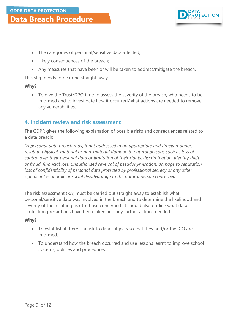

- The categories of personal/sensitive data affected;
- Likely consequences of the breach;
- Any measures that have been or will be taken to address/mitigate the breach.

This step needs to be done straight away.

#### **Why?**

• To give the Trust/DPO time to assess the severity of the breach, who needs to be informed and to investigate how it occurred/what actions are needed to remove any vulnerabilities.

## <span id="page-8-0"></span>**4. Incident review and risk assessment**

The GDPR gives the following explanation of possible risks and consequences related to a data breach:

*"A personal data breach may, if not addressed in an appropriate and timely manner, result in physical, material or non-material damage to natural persons such as loss of control over their personal data or limitation of their rights, discrimination, identity theft or fraud, financial loss, unauthorised reversal of pseudonymisation, damage to reputation,*  loss of confidentiality of personal data protected by professional secrecy or any other *significant economic or social disadvantage to the natural person concerned."*

The risk assessment (RA) must be carried out straight away to establish what personal/sensitive data was involved in the breach and to determine the likelihood and severity of the resulting risk to those concerned. It should also outline what data protection precautions have been taken and any further actions needed.

#### **Why?**

- To establish if there is a risk to data subjects so that they and/or the ICO are informed.
- To understand how the breach occurred and use lessons learnt to improve school systems, policies and procedures.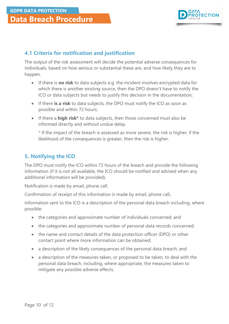

## <span id="page-9-0"></span>**4.1 Criteria for notification and justification**

The output of the risk assessment will decide the potential adverse consequences for individuals, based on how serious or substantial these are, and how likely they are to happen.

- If there is **no risk** to data subjects e.g. the incident involves encrypted data for which there is another existing source, then the DPO doesn't have to notify the ICO or data subjects but needs to justify this decision in the documentation;
- If there **is a risk** to data subjects, the DPO must notify the ICO as soon as possible and within 72 hours;
- If there a **high risk\*** to data subjects, then those concerned must also be informed directly and without undue delay.

\* If the impact of the breach is assessed as more severe, the risk is higher; if the likelihood of the consequences is greater, then the risk is higher.

## <span id="page-9-1"></span>**5. Notifying the ICO**

The DPO must notify the ICO within 72 hours of the breach and provide the following information (if it is not all available, the ICO should be notified and advised when any additional information will be provided).

Notification is made by email, phone call.

Confirmation of receipt of this information is made by email, phone call**.**

Information sent to the ICO is a description of the personal data breach including, where possible:

- the categories and approximate number of individuals concerned; and
- the categories and approximate number of personal data records concerned;
- the name and contact details of the data protection officer (DPO) or other contact point where more information can be obtained;
- a description of the likely consequences of the personal data breach; and
- a description of the measures taken, or proposed to be taken, to deal with the personal data breach, including, where appropriate, the measures taken to mitigate any possible adverse effects.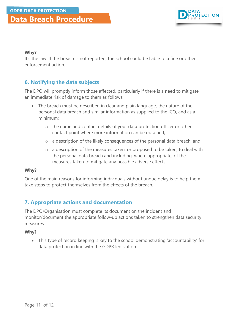

#### **Why?**

It's the law. If the breach is not reported, the school could be liable to a fine or other enforcement action.

## <span id="page-10-0"></span>**6. Notifying the data subjects**

The DPO will promptly inform those affected, particularly if there is a need to mitigate an immediate risk of damage to them as follows:

- The breach must be described in clear and plain language, the nature of the personal data breach and similar information as supplied to the ICO, and as a minimum:
	- o the name and contact details of your data protection officer or other contact point where more information can be obtained;
	- o a description of the likely consequences of the personal data breach; and
	- o a description of the measures taken, or proposed to be taken, to deal with the personal data breach and including, where appropriate, of the measures taken to mitigate any possible adverse effects.

#### **Why?**

One of the main reasons for informing individuals without undue delay is to help them take steps to protect themselves from the effects of the breach.

## <span id="page-10-1"></span>**7. Appropriate actions and documentation**

The DPO/Organisation must complete its document on the incident and monitor/document the appropriate follow-up actions taken to strengthen data security measures.

#### **Why?**

• This type of record keeping is key to the school demonstrating 'accountability' for data protection in line with the GDPR legislation.